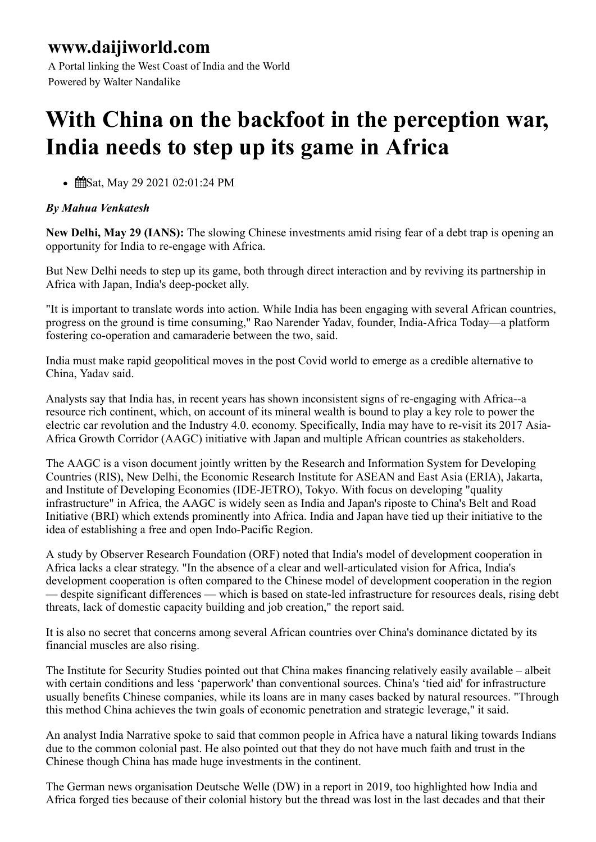## **www.daijiworld.com**

A Portal linking the West Coast of India and the World Powered by Walter Nandalike

## **With China on the backfoot in the perception war, India needs to step up its game in Africa**

• **ff**Sat, May 29 2021 02:01:24 PM

## *By Mahua Venkatesh*

**New Delhi, May 29 (IANS):** The slowing Chinese investments amid rising fear of a debt trap is opening an opportunity for India to re-engage with Africa.

But New Delhi needs to step up its game, both through direct interaction and by reviving its partnership in Africa with Japan, India's deep-pocket ally.

"It is important to translate words into action. While India has been engaging with several African countries, progress on the ground is time consuming," Rao Narender Yadav, founder, India-Africa Today—a platform fostering co-operation and camaraderie between the two, said.

India must make rapid geopolitical moves in the post Covid world to emerge as a credible alternative to China, Yadav said.

Analysts say that India has, in recent years has shown inconsistent signs of re-engaging with Africa--a resource rich continent, which, on account of its mineral wealth is bound to play a key role to power the electric car revolution and the Industry 4.0. economy. Specifically, India may have to re-visit its 2017 Asia-Africa Growth Corridor (AAGC) initiative with Japan and multiple African countries as stakeholders.

The AAGC is a vison document jointly written by the Research and Information System for Developing Countries (RIS), New Delhi, the Economic Research Institute for ASEAN and East Asia (ERIA), Jakarta, and Institute of Developing Economies (IDE-JETRO), Tokyo. With focus on developing "quality infrastructure" in Africa, the AAGC is widely seen as India and Japan's riposte to China's Belt and Road Initiative (BRI) which extends prominently into Africa. India and Japan have tied up their initiative to the idea of establishing a free and open Indo-Pacific Region.

A study by Observer Research Foundation (ORF) noted that India's model of development cooperation in Africa lacks a clear strategy. "In the absence of a clear and well-articulated vision for Africa, India's development cooperation is often compared to the Chinese model of development cooperation in the region — despite significant differences — which is based on state-led infrastructure for resources deals, rising debt threats, lack of domestic capacity building and job creation," the report said.

It is also no secret that concerns among several African countries over China's dominance dictated by its financial muscles are also rising.

The Institute for Security Studies pointed out that China makes financing relatively easily available – albeit with certain conditions and less 'paperwork' than conventional sources. China's 'tied aid' for infrastructure usually benefits Chinese companies, while its loans are in many cases backed by natural resources. "Through this method China achieves the twin goals of economic penetration and strategic leverage," it said.

An analyst India Narrative spoke to said that common people in Africa have a natural liking towards Indians due to the common colonial past. He also pointed out that they do not have much faith and trust in the Chinese though China has made huge investments in the continent.

The German news organisation Deutsche Welle (DW) in a report in 2019, too highlighted how India and Africa forged ties because of their colonial history but the thread was lost in the last decades and that their